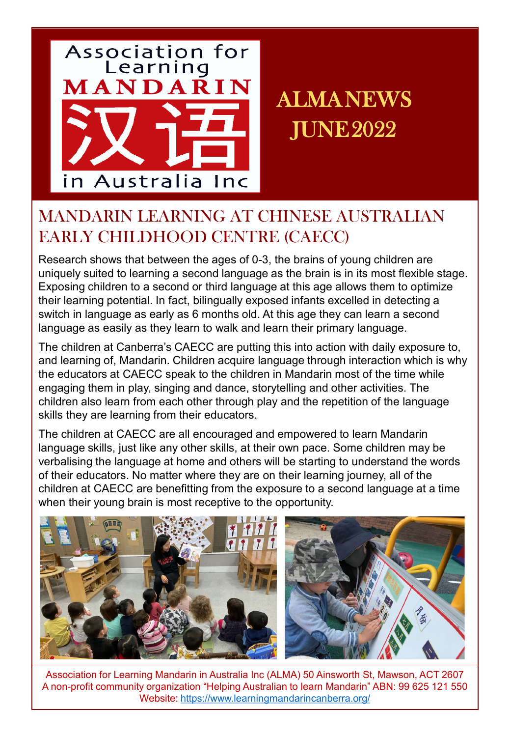

ALMANEWS JUNE2022

# MANDARIN LEARNING AT CHINESE AUSTRALIAN EARLY CHILDHOOD CENTRE (CAECC)

Research shows that between the ages of 0-3, the brains of young children are uniquely suited to learning a second language as the brain is in its most flexible stage. Exposing children to a second or third language at this age allows them to optimize their learning potential. In fact, bilingually exposed infants excelled in detecting a switch in language as early as 6 months old. At this age they can learn a second language as easily as they learn to walk and learn their primary language.

The children at Canberra's CAECC are putting this into action with daily exposure to, and learning of, Mandarin. Children acquire language through interaction which is why the educators at CAECC speak to the children in Mandarin most of the time while engaging them in play, singing and dance, storytelling and other activities. The children also learn from each other through play and the repetition of the language skills they are learning from their educators.

The children at CAECC are all encouraged and empowered to learn Mandarin language skills, just like any other skills, at their own pace. Some children may be verbalising the language at home and others will be starting to understand the words of their educators. No matter where they are on their learning journey, all of the children at CAECC are benefitting from the exposure to a second language at a time when their young brain is most receptive to the opportunity.

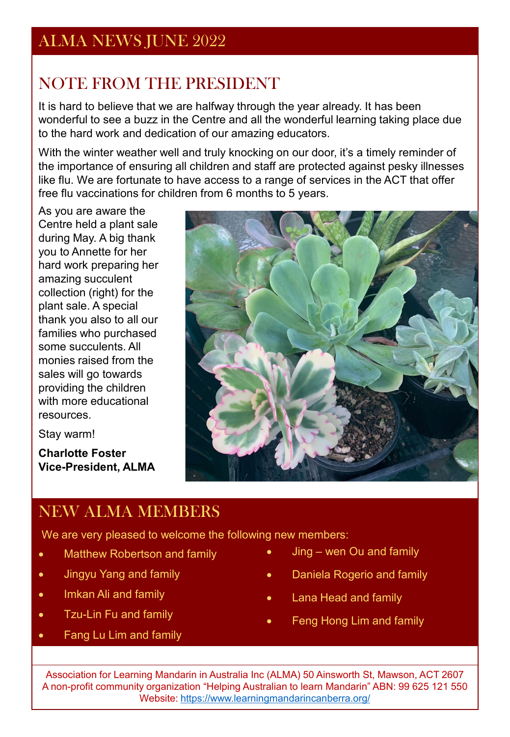# NOTE FROM THE PRESIDENT

It is hard to believe that we are halfway through the year already. It has been wonderful to see a buzz in the Centre and all the wonderful learning taking place due to the hard work and dedication of our amazing educators.

With the winter weather well and truly knocking on our door, it's a timely reminder of the importance of ensuring all children and staff are protected against pesky illnesses like flu. We are fortunate to have access to a range of services in the ACT that offer free flu vaccinations for children from 6 months to 5 years.

As you are aware the Centre held a plant sale during May. A big thank you to Annette for her hard work preparing her amazing succulent collection (right) for the plant sale. A special thank you also to all our families who purchased some succulents. All monies raised from the sales will go towards providing the children with more educational resources.

Stay warm!

**Charlotte Foster Vice-President, ALMA** 



## NEW ALMA MEMBERS

We are very pleased to welcome the following new members:

- Matthew Robertson and family
- Jingyu Yang and family
- Imkan Ali and family
- Tzu-Lin Fu and family
- Fang Lu Lim and family
- Jing wen Ou and family
- Daniela Rogerio and family
- Lana Head and family
- Feng Hong Lim and family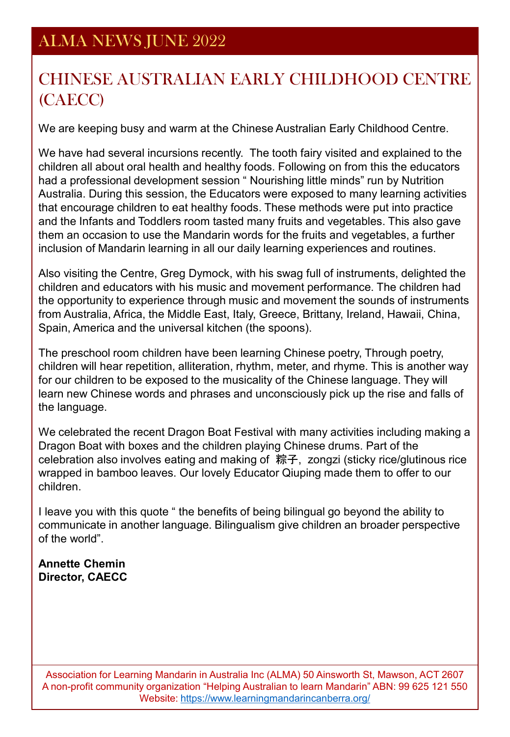## ALMA NEWS JUNE 2022

## CHINESE AUSTRALIAN EARLY CHILDHOOD CENTRE (CAECC)

We are keeping busy and warm at the Chinese Australian Early Childhood Centre.

We have had several incursions recently. The tooth fairy visited and explained to the children all about oral health and healthy foods. Following on from this the educators had a professional development session " Nourishing little minds" run by Nutrition Australia. During this session, the Educators were exposed to many learning activities that encourage children to eat healthy foods. These methods were put into practice and the Infants and Toddlers room tasted many fruits and vegetables. This also gave them an occasion to use the Mandarin words for the fruits and vegetables, a further inclusion of Mandarin learning in all our daily learning experiences and routines.

Also visiting the Centre, Greg Dymock, with his swag full of instruments, delighted the children and educators with his music and movement performance. The children had the opportunity to experience through music and movement the sounds of instruments from Australia, Africa, the Middle East, Italy, Greece, Brittany, Ireland, Hawaii, China, Spain, America and the universal kitchen (the spoons).

The preschool room children have been learning Chinese poetry, Through poetry, children will hear repetition, alliteration, rhythm, meter, and rhyme. This is another way for our children to be exposed to the musicality of the Chinese language. They will learn new Chinese words and phrases and unconsciously pick up the rise and falls of the language.

We celebrated the recent Dragon Boat Festival with many activities including making a Dragon Boat with boxes and the children playing Chinese drums. Part of the celebration also involves eating and making of 粽子, zongzi (sticky rice/glutinous rice wrapped in bamboo leaves. Our lovely Educator Qiuping made them to offer to our children.

I leave you with this quote " the benefits of being bilingual go beyond the ability to communicate in another language. Bilingualism give children an broader perspective of the world".

#### **Annette Chemin Director, CAECC**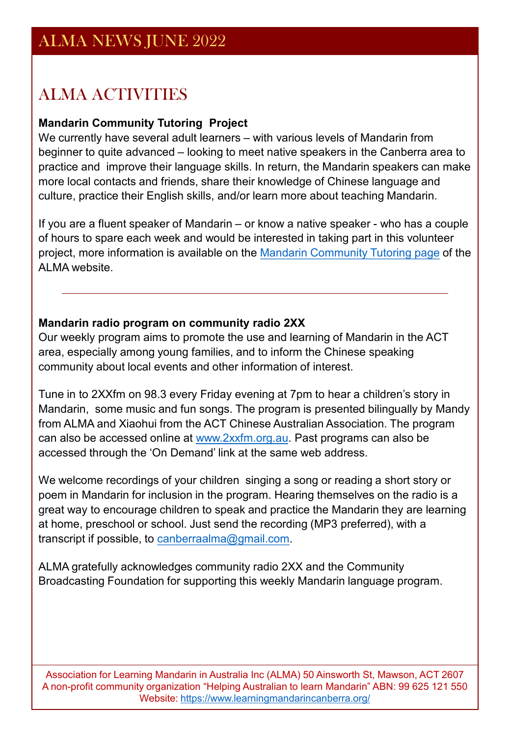## ALMA ACTIVITIES

#### **Mandarin Community Tutoring Project**

We currently have several adult learners – with various levels of Mandarin from beginner to quite advanced – looking to meet native speakers in the Canberra area to practice and improve their language skills. In return, the Mandarin speakers can make more local contacts and friends, share their knowledge of Chinese language and culture, practice their English skills, and/or learn more about teaching Mandarin.

If you are a fluent speaker of Mandarin – or know a native speaker - who has a couple of hours to spare each week and would be interested in taking part in this volunteer project, more information is available on the [Mandarin Community Tutoring page](https://www.learningmandarincanberra.org/mandarin-community-tutoring.html) of the ALMA website.

#### **Mandarin radio program on community radio 2XX**

Our weekly program aims to promote the use and learning of Mandarin in the ACT area, especially among young families, and to inform the Chinese speaking community about local events and other information of interest.

Tune in to 2XXfm on 98.3 every Friday evening at 7pm to hear a children's story in Mandarin, some music and fun songs. The program is presented bilingually by Mandy from ALMA and Xiaohui from the ACT Chinese Australian Association. The program can also be accessed online at www.2xxfm.org.au. Past programs can also be accessed through the 'On Demand' link at the same web address.

We welcome recordings of your children singing a song or reading a short story or poem in Mandarin for inclusion in the program. Hearing themselves on the radio is a great way to encourage children to speak and practice the Mandarin they are learning at home, preschool or school. Just send the recording (MP3 preferred), with a transcript if possible, to [canberraalma@gmail.com.](mailto:canberraalma@gmail.com)

ALMA gratefully acknowledges community radio 2XX and the Community Broadcasting Foundation for supporting this weekly Mandarin language program.